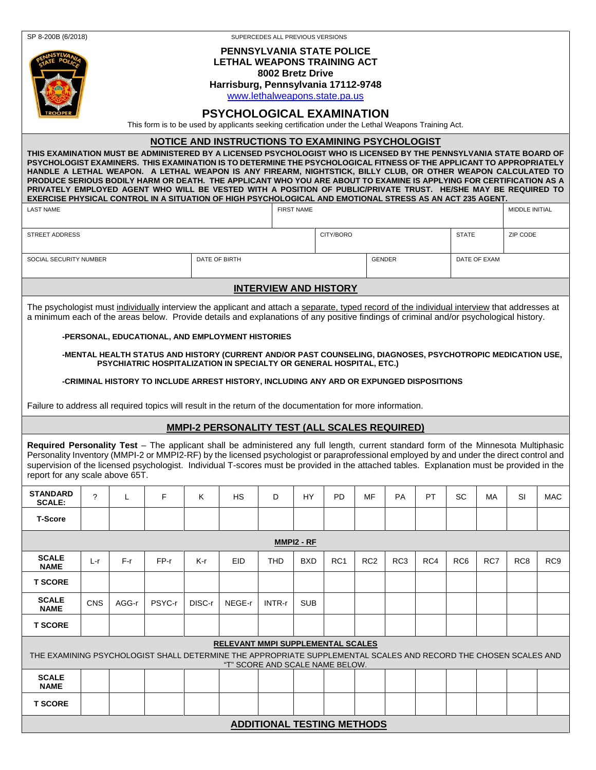| SP 8-200B (6/2018)<br>SUPERCEDES ALL PREVIOUS VERSIONS                                                                                                                                                                                                                                                                                                                                                                                                                                                                                                                                                                                                                                                            |            |       |                                                                                                                                                                                   |        |               |            |                   |                                   |                 |                 |              |                 |              |                 |            |  |
|-------------------------------------------------------------------------------------------------------------------------------------------------------------------------------------------------------------------------------------------------------------------------------------------------------------------------------------------------------------------------------------------------------------------------------------------------------------------------------------------------------------------------------------------------------------------------------------------------------------------------------------------------------------------------------------------------------------------|------------|-------|-----------------------------------------------------------------------------------------------------------------------------------------------------------------------------------|--------|---------------|------------|-------------------|-----------------------------------|-----------------|-----------------|--------------|-----------------|--------------|-----------------|------------|--|
| <b>PENNSYLVANIA STATE POLICE</b><br><b>LETHAL WEAPONS TRAINING ACT</b><br>8002 Bretz Drive<br>Harrisburg, Pennsylvania 17112-9748<br>www.lethalweapons.state.pa.us<br><b>PSYCHOLOGICAL EXAMINATION</b><br>This form is to be used by applicants seeking certification under the Lethal Weapons Training Act.                                                                                                                                                                                                                                                                                                                                                                                                      |            |       |                                                                                                                                                                                   |        |               |            |                   |                                   |                 |                 |              |                 |              |                 |            |  |
| NOTICE AND INSTRUCTIONS TO EXAMINING PSYCHOLOGIST                                                                                                                                                                                                                                                                                                                                                                                                                                                                                                                                                                                                                                                                 |            |       |                                                                                                                                                                                   |        |               |            |                   |                                   |                 |                 |              |                 |              |                 |            |  |
| THIS EXAMINATION MUST BE ADMINISTERED BY A LICENSED PSYCHOLOGIST WHO IS LICENSED BY THE PENNSYLVANIA STATE BOARD OF<br>PSYCHOLOGIST EXAMINERS. THIS EXAMINATION IS TO DETERMINE THE PSYCHOLOGICAL FITNESS OF THE APPLICANT TO APPROPRIATELY<br>HANDLE A LETHAL WEAPON. A LETHAL WEAPON IS ANY FIREARM, NIGHTSTICK, BILLY CLUB, OR OTHER WEAPON CALCULATED TO<br>PRODUCE SERIOUS BODILY HARM OR DEATH. THE APPLICANT WHO YOU ARE ABOUT TO EXAMINE IS APPLYING FOR CERTIFICATION AS A<br>PRIVATELY EMPLOYED AGENT WHO WILL BE VESTED WITH A POSITION OF PUBLIC/PRIVATE TRUST. HE/SHE MAY BE REQUIRED TO<br>EXERCISE PHYSICAL CONTROL IN A SITUATION OF HIGH PSYCHOLOGICAL AND EMOTIONAL STRESS AS AN ACT 235 AGENT. |            |       |                                                                                                                                                                                   |        |               |            |                   |                                   |                 |                 |              |                 |              |                 |            |  |
| <b>LAST NAME</b>                                                                                                                                                                                                                                                                                                                                                                                                                                                                                                                                                                                                                                                                                                  |            |       |                                                                                                                                                                                   |        |               |            | <b>FIRST NAME</b> |                                   |                 |                 |              |                 |              | MIDDLE INITIAL  |            |  |
| <b>STREET ADDRESS</b>                                                                                                                                                                                                                                                                                                                                                                                                                                                                                                                                                                                                                                                                                             |            |       |                                                                                                                                                                                   |        |               |            |                   | CITY/BORO                         |                 |                 | <b>STATE</b> |                 | ZIP CODE     |                 |            |  |
| SOCIAL SECURITY NUMBER                                                                                                                                                                                                                                                                                                                                                                                                                                                                                                                                                                                                                                                                                            |            |       |                                                                                                                                                                                   |        | DATE OF BIRTH |            |                   |                                   |                 | <b>GENDER</b>   |              |                 | DATE OF EXAM |                 |            |  |
| <b>INTERVIEW AND HISTORY</b>                                                                                                                                                                                                                                                                                                                                                                                                                                                                                                                                                                                                                                                                                      |            |       |                                                                                                                                                                                   |        |               |            |                   |                                   |                 |                 |              |                 |              |                 |            |  |
| The psychologist must individually interview the applicant and attach a separate, typed record of the individual interview that addresses at<br>a minimum each of the areas below. Provide details and explanations of any positive findings of criminal and/or psychological history.                                                                                                                                                                                                                                                                                                                                                                                                                            |            |       |                                                                                                                                                                                   |        |               |            |                   |                                   |                 |                 |              |                 |              |                 |            |  |
|                                                                                                                                                                                                                                                                                                                                                                                                                                                                                                                                                                                                                                                                                                                   |            |       | -PERSONAL, EDUCATIONAL, AND EMPLOYMENT HISTORIES                                                                                                                                  |        |               |            |                   |                                   |                 |                 |              |                 |              |                 |            |  |
|                                                                                                                                                                                                                                                                                                                                                                                                                                                                                                                                                                                                                                                                                                                   |            |       | -MENTAL HEALTH STATUS AND HISTORY (CURRENT AND/OR PAST COUNSELING, DIAGNOSES, PSYCHOTROPIC MEDICATION USE,<br>PSYCHIATRIC HOSPITALIZATION IN SPECIALTY OR GENERAL HOSPITAL, ETC.) |        |               |            |                   |                                   |                 |                 |              |                 |              |                 |            |  |
|                                                                                                                                                                                                                                                                                                                                                                                                                                                                                                                                                                                                                                                                                                                   |            |       | -CRIMINAL HISTORY TO INCLUDE ARREST HISTORY, INCLUDING ANY ARD OR EXPUNGED DISPOSITIONS                                                                                           |        |               |            |                   |                                   |                 |                 |              |                 |              |                 |            |  |
|                                                                                                                                                                                                                                                                                                                                                                                                                                                                                                                                                                                                                                                                                                                   |            |       |                                                                                                                                                                                   |        |               |            |                   |                                   |                 |                 |              |                 |              |                 |            |  |
| Failure to address all required topics will result in the return of the documentation for more information.<br><b>MMPI-2 PERSONALITY TEST (ALL SCALES REQUIRED)</b>                                                                                                                                                                                                                                                                                                                                                                                                                                                                                                                                               |            |       |                                                                                                                                                                                   |        |               |            |                   |                                   |                 |                 |              |                 |              |                 |            |  |
|                                                                                                                                                                                                                                                                                                                                                                                                                                                                                                                                                                                                                                                                                                                   |            |       |                                                                                                                                                                                   |        |               |            |                   |                                   |                 |                 |              |                 |              |                 |            |  |
| Required Personality Test - The applicant shall be administered any full length, current standard form of the Minnesota Multiphasic<br>Personality Inventory (MMPI-2 or MMPI2-RF) by the licensed psychologist or paraprofessional employed by and under the direct control and<br>supervision of the licensed psychologist. Individual T-scores must be provided in the attached tables. Explanation must be provided in the<br>report for any scale above 65T.                                                                                                                                                                                                                                                  |            |       |                                                                                                                                                                                   |        |               |            |                   |                                   |                 |                 |              |                 |              |                 |            |  |
| <b>STANDARD</b><br><b>SCALE:</b>                                                                                                                                                                                                                                                                                                                                                                                                                                                                                                                                                                                                                                                                                  | ?          | Г     | F.                                                                                                                                                                                | K.     | HS.           | D          | HY.               | <b>PD</b>                         | <b>MF</b>       | <b>PA</b>       | PT.          | <b>SC</b>       | MA.          | SI              | <b>MAC</b> |  |
| <b>T-Score</b>                                                                                                                                                                                                                                                                                                                                                                                                                                                                                                                                                                                                                                                                                                    |            |       |                                                                                                                                                                                   |        |               |            |                   |                                   |                 |                 |              |                 |              |                 |            |  |
| MMPI2 - RF                                                                                                                                                                                                                                                                                                                                                                                                                                                                                                                                                                                                                                                                                                        |            |       |                                                                                                                                                                                   |        |               |            |                   |                                   |                 |                 |              |                 |              |                 |            |  |
| <b>SCALE</b><br><b>NAME</b>                                                                                                                                                                                                                                                                                                                                                                                                                                                                                                                                                                                                                                                                                       | L-r        | F-r   | FP-r                                                                                                                                                                              | K-r    | <b>EID</b>    | <b>THD</b> | <b>BXD</b>        | RC <sub>1</sub>                   | RC <sub>2</sub> | RC <sub>3</sub> | RC4          | RC <sub>6</sub> | RC7          | RC <sub>8</sub> | RC9        |  |
| <b>T SCORE</b>                                                                                                                                                                                                                                                                                                                                                                                                                                                                                                                                                                                                                                                                                                    |            |       |                                                                                                                                                                                   |        |               |            |                   |                                   |                 |                 |              |                 |              |                 |            |  |
| <b>SCALE</b><br><b>NAME</b>                                                                                                                                                                                                                                                                                                                                                                                                                                                                                                                                                                                                                                                                                       | <b>CNS</b> | AGG-r | PSYC-r                                                                                                                                                                            | DISC-r | NEGE-r        | INTR-r     | <b>SUB</b>        |                                   |                 |                 |              |                 |              |                 |            |  |
| <b>T SCORE</b>                                                                                                                                                                                                                                                                                                                                                                                                                                                                                                                                                                                                                                                                                                    |            |       |                                                                                                                                                                                   |        |               |            |                   |                                   |                 |                 |              |                 |              |                 |            |  |
| <b>RELEVANT MMPI SUPPLEMENTAL SCALES</b><br>THE EXAMINING PSYCHOLOGIST SHALL DETERMINE THE APPROPRIATE SUPPLEMENTAL SCALES AND RECORD THE CHOSEN SCALES AND<br>"T" SCORE AND SCALE NAME BELOW.                                                                                                                                                                                                                                                                                                                                                                                                                                                                                                                    |            |       |                                                                                                                                                                                   |        |               |            |                   |                                   |                 |                 |              |                 |              |                 |            |  |
| <b>SCALE</b><br><b>NAME</b>                                                                                                                                                                                                                                                                                                                                                                                                                                                                                                                                                                                                                                                                                       |            |       |                                                                                                                                                                                   |        |               |            |                   |                                   |                 |                 |              |                 |              |                 |            |  |
| <b>T SCORE</b>                                                                                                                                                                                                                                                                                                                                                                                                                                                                                                                                                                                                                                                                                                    |            |       |                                                                                                                                                                                   |        |               |            |                   |                                   |                 |                 |              |                 |              |                 |            |  |
|                                                                                                                                                                                                                                                                                                                                                                                                                                                                                                                                                                                                                                                                                                                   |            |       |                                                                                                                                                                                   |        |               |            |                   | <b>ADDITIONAL TESTING METHODS</b> |                 |                 |              |                 |              |                 |            |  |